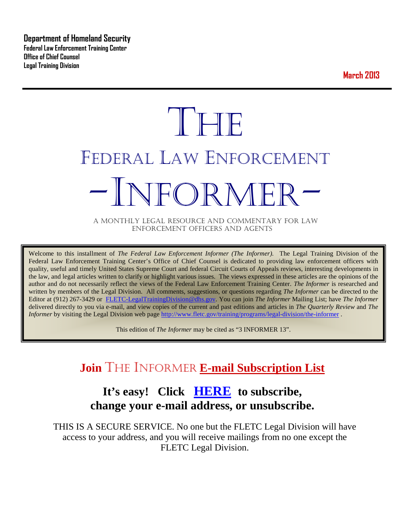**Department of Homeland Security Federal Law Enforcement Training Center Office of Chief Counsel Legal Training Division** 

**March 2013**

# **THE** FEDERAL LAW ENFORCEMENT -INFORMER- A MONTHLY LEGAL RESOURCE AND COMMENTARY FOR LAW

ENFORCEMENT OFFICERS AND AGENTS

Welcome to this installment of *The Federal Law Enforcement Informer (The Informer).* The Legal Training Division of the Federal Law Enforcement Training Center's Office of Chief Counsel is dedicated to providing law enforcement officers with quality, useful and timely United States Supreme Court and federal Circuit Courts of Appeals reviews, interesting developments in the law, and legal articles written to clarify or highlight various issues. The views expressed in these articles are the opinions of the author and do not necessarily reflect the views of the Federal Law Enforcement Training Center. *The Informer* is researched and written by members of the Legal Division. All comments, suggestions, or questions regarding *The Informer* can be directed to the Editor at (912) 267-3429 or [FLETC-LegalTrainingDivision@dhs.gov.](mailto:FLETC-LegalTrainingDivision@dhs.gov) You can join *The Informer* Mailing List; have *The Informer* delivered directly to you via e-mail, and view copies of the current and past editions and articles in *The Quarterly Review* and *The Informer* by visiting the Legal Division web page<http://www.fletc.gov/training/programs/legal-division/the-informer>.

This edition of *The Informer* may be cited as "3 INFORMER 13".

## **Join** THE INFORMER **E-mail Subscription List**

### **It's easy! Click [HERE](http://peach.ease.lsoft.com/scripts/wa.exe?SUBED1=fletclgd&A=1) to subscribe, change your e-mail address, or unsubscribe.**

THIS IS A SECURE SERVICE. No one but the FLETC Legal Division will have access to your address, and you will receive mailings from no one except the FLETC Legal Division.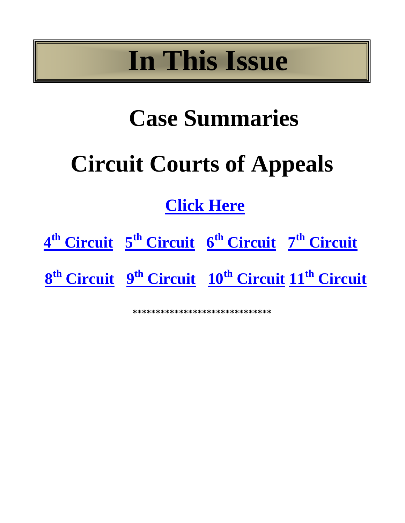## **In This Issue**

## **Case Summaries**

## **Circuit Courts of Appeals**

## **[Click Here](#page-2-0)**



**\*\*\*\*\*\*\*\*\*\*\*\*\*\*\*\*\*\*\*\*\*\*\*\*\*\*\*\*\*\***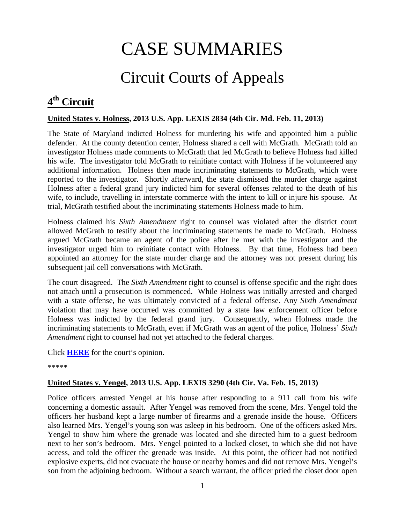## CASE SUMMARIES

## Circuit Courts of Appeals

## <span id="page-2-1"></span><span id="page-2-0"></span>**4th Circuit**

#### **United States v. Holness, 2013 U.S. App. LEXIS 2834 (4th Cir. Md. Feb. 11, 2013)**

The State of Maryland indicted Holness for murdering his wife and appointed him a public defender. At the county detention center, Holness shared a cell with McGrath. McGrath told an investigator Holness made comments to McGrath that led McGrath to believe Holness had killed his wife. The investigator told McGrath to reinitiate contact with Holness if he volunteered any additional information. Holness then made incriminating statements to McGrath, which were reported to the investigator. Shortly afterward, the state dismissed the murder charge against Holness after a federal grand jury indicted him for several offenses related to the death of his wife, to include, travelling in interstate commerce with the intent to kill or injure his spouse. At trial, McGrath testified about the incriminating statements Holness made to him.

Holness claimed his *Sixth Amendment* right to counsel was violated after the district court allowed McGrath to testify about the incriminating statements he made to McGrath. Holness argued McGrath became an agent of the police after he met with the investigator and the investigator urged him to reinitiate contact with Holness. By that time, Holness had been appointed an attorney for the state murder charge and the attorney was not present during his subsequent jail cell conversations with McGrath.

The court disagreed. The *Sixth Amendment* right to counsel is offense specific and the right does not attach until a prosecution is commenced. While Holness was initially arrested and charged with a state offense, he was ultimately convicted of a federal offense. Any *Sixth Amendment* violation that may have occurred was committed by a state law enforcement officer before Holness was indicted by the federal grand jury. Consequently, when Holness made the incriminating statements to McGrath, even if McGrath was an agent of the police, Holness' *Sixth Amendment* right to counsel had not yet attached to the federal charges.

Click **[HERE](http://docs.justia.com/cases/federal/appellate-courts/ca4/11-4631/11-4631-2013-02-11.pdf)** for the court's opinion.

\*\*\*\*\*

#### **United States v. Yengel, 2013 U.S. App. LEXIS 3290 (4th Cir. Va. Feb. 15, 2013)**

Police officers arrested Yengel at his house after responding to a 911 call from his wife concerning a domestic assault. After Yengel was removed from the scene, Mrs. Yengel told the officers her husband kept a large number of firearms and a grenade inside the house. Officers also learned Mrs. Yengel's young son was asleep in his bedroom. One of the officers asked Mrs. Yengel to show him where the grenade was located and she directed him to a guest bedroom next to her son's bedroom. Mrs. Yengel pointed to a locked closet, to which she did not have access, and told the officer the grenade was inside. At this point, the officer had not notified explosive experts, did not evacuate the house or nearby homes and did not remove Mrs. Yengel's son from the adjoining bedroom. Without a search warrant, the officer pried the closet door open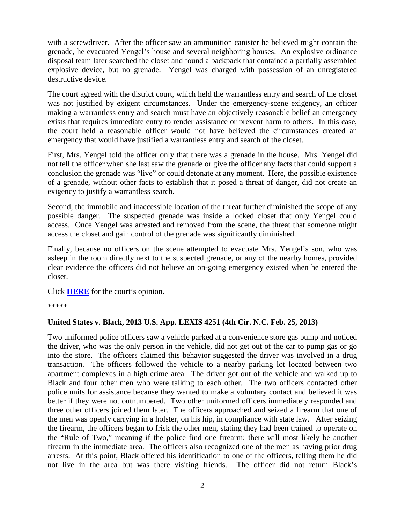with a screwdriver. After the officer saw an ammunition canister he believed might contain the grenade, he evacuated Yengel's house and several neighboring houses. An explosive ordinance disposal team later searched the closet and found a backpack that contained a partially assembled explosive device, but no grenade. Yengel was charged with possession of an unregistered destructive device.

The court agreed with the district court, which held the warrantless entry and search of the closet was not justified by exigent circumstances. Under the emergency-scene exigency, an officer making a warrantless entry and search must have an objectively reasonable belief an emergency exists that requires immediate entry to render assistance or prevent harm to others. In this case, the court held a reasonable officer would not have believed the circumstances created an emergency that would have justified a warrantless entry and search of the closet.

First, Mrs. Yengel told the officer only that there was a grenade in the house. Mrs. Yengel did not tell the officer when she last saw the grenade or give the officer any facts that could support a conclusion the grenade was "live" or could detonate at any moment. Here, the possible existence of a grenade, without other facts to establish that it posed a threat of danger, did not create an exigency to justify a warrantless search.

Second, the immobile and inaccessible location of the threat further diminished the scope of any possible danger. The suspected grenade was inside a locked closet that only Yengel could access. Once Yengel was arrested and removed from the scene, the threat that someone might access the closet and gain control of the grenade was significantly diminished.

Finally, because no officers on the scene attempted to evacuate Mrs. Yengel's son, who was asleep in the room directly next to the suspected grenade, or any of the nearby homes, provided clear evidence the officers did not believe an on-going emergency existed when he entered the closet.

Click **[HERE](http://docs.justia.com/cases/federal/appellate-courts/ca4/12-4317/12-4317-2013-02-15.pdf)** for the court's opinion.

\*\*\*\*\*

#### **United States v. Black, 2013 U.S. App. LEXIS 4251 (4th Cir. N.C. Feb. 25, 2013)**

Two uniformed police officers saw a vehicle parked at a convenience store gas pump and noticed the driver, who was the only person in the vehicle, did not get out of the car to pump gas or go into the store. The officers claimed this behavior suggested the driver was involved in a drug transaction. The officers followed the vehicle to a nearby parking lot located between two apartment complexes in a high crime area. The driver got out of the vehicle and walked up to Black and four other men who were talking to each other. The two officers contacted other police units for assistance because they wanted to make a voluntary contact and believed it was better if they were not outnumbered. Two other uniformed officers immediately responded and three other officers joined them later. The officers approached and seized a firearm that one of the men was openly carrying in a holster, on his hip, in compliance with state law. After seizing the firearm, the officers began to frisk the other men, stating they had been trained to operate on the "Rule of Two," meaning if the police find one firearm; there will most likely be another firearm in the immediate area. The officers also recognized one of the men as having prior drug arrests. At this point, Black offered his identification to one of the officers, telling them he did not live in the area but was there visiting friends. The officer did not return Black's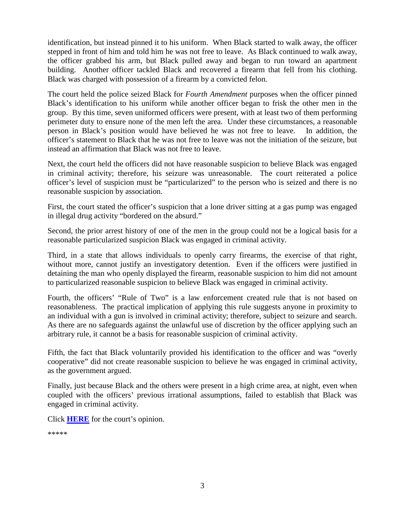identification, but instead pinned it to his uniform. When Black started to walk away, the officer stepped in front of him and told him he was not free to leave. As Black continued to walk away, the officer grabbed his arm, but Black pulled away and began to run toward an apartment building. Another officer tackled Black and recovered a firearm that fell from his clothing. Black was charged with possession of a firearm by a convicted felon.

The court held the police seized Black for *Fourth Amendment* purposes when the officer pinned Black's identification to his uniform while another officer began to frisk the other men in the group. By this time, seven uniformed officers were present, with at least two of them performing perimeter duty to ensure none of the men left the area. Under these circumstances, a reasonable person in Black's position would have believed he was not free to leave. In addition, the officer's statement to Black that he was not free to leave was not the initiation of the seizure, but instead an affirmation that Black was not free to leave.

Next, the court held the officers did not have reasonable suspicion to believe Black was engaged in criminal activity; therefore, his seizure was unreasonable. The court reiterated a police officer's level of suspicion must be "particularized" to the person who is seized and there is no reasonable suspicion by association.

First, the court stated the officer's suspicion that a lone driver sitting at a gas pump was engaged in illegal drug activity "bordered on the absurd."

Second, the prior arrest history of one of the men in the group could not be a logical basis for a reasonable particularized suspicion Black was engaged in criminal activity.

Third, in a state that allows individuals to openly carry firearms, the exercise of that right, without more, cannot justify an investigatory detention. Even if the officers were justified in detaining the man who openly displayed the firearm, reasonable suspicion to him did not amount to particularized reasonable suspicion to believe Black was engaged in criminal activity.

Fourth, the officers' "Rule of Two" is a law enforcement created rule that is not based on reasonableness. The practical implication of applying this rule suggests anyone in proximity to an individual with a gun is involved in criminal activity; therefore, subject to seizure and search. As there are no safeguards against the unlawful use of discretion by the officer applying such an arbitrary rule, it cannot be a basis for reasonable suspicion of criminal activity.

Fifth, the fact that Black voluntarily provided his identification to the officer and was "overly cooperative" did not create reasonable suspicion to believe he was engaged in criminal activity, as the government argued.

Finally, just because Black and the others were present in a high crime area, at night, even when coupled with the officers' previous irrational assumptions, failed to establish that Black was engaged in criminal activity.

Click **[HERE](http://docs.justia.com/cases/federal/appellate-courts/ca4/11-5084/11-5084-2013-02-25.pdf)** for the court's opinion.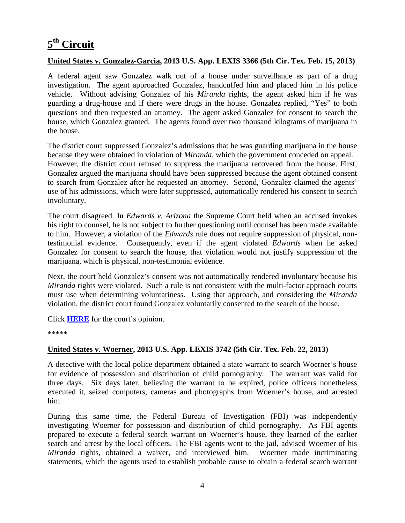## <span id="page-5-0"></span>**5th Circuit**

#### **United States v. Gonzalez-Garcia, 2013 U.S. App. LEXIS 3366 (5th Cir. Tex. Feb. 15, 2013)**

A federal agent saw Gonzalez walk out of a house under surveillance as part of a drug investigation. The agent approached Gonzalez, handcuffed him and placed him in his police vehicle. Without advising Gonzalez of his *Miranda* rights, the agent asked him if he was guarding a drug-house and if there were drugs in the house. Gonzalez replied, "Yes" to both questions and then requested an attorney. The agent asked Gonzalez for consent to search the house, which Gonzalez granted. The agents found over two thousand kilograms of marijuana in the house.

The district court suppressed Gonzalez's admissions that he was guarding marijuana in the house because they were obtained in violation of *Miranda*, which the government conceded on appeal. However, the district court refused to suppress the marijuana recovered from the house. First, Gonzalez argued the marijuana should have been suppressed because the agent obtained consent to search from Gonzalez after he requested an attorney. Second, Gonzalez claimed the agents' use of his admissions, which were later suppressed, automatically rendered his consent to search involuntary.

The court disagreed. In *Edwards v. Arizona* the Supreme Court held when an accused invokes his right to counsel, he is not subject to further questioning until counsel has been made available to him. However, a violation of the *Edwards* rule does not require suppression of physical, nontestimonial evidence. Consequently, even if the agent violated *Edwards* when he asked Gonzalez for consent to search the house, that violation would not justify suppression of the marijuana, which is physical, non-testimonial evidence.

Next, the court held Gonzalez's consent was not automatically rendered involuntary because his *Miranda* rights were violated. Such a rule is not consistent with the multi-factor approach courts must use when determining voluntariness. Using that approach, and considering the *Miranda* violation, the district court found Gonzalez voluntarily consented to the search of the house.

Click **[HERE](http://docs.justia.com/cases/federal/appellate-courts/ca5/11-41365/11-41365-2013-02-15.pdf)** for the court's opinion.

\*\*\*\*\*

#### **United States v. Woerner, 2013 U.S. App. LEXIS 3742 (5th Cir. Tex. Feb. 22, 2013)**

A detective with the local police department obtained a state warrant to search Woerner's house for evidence of possession and distribution of child pornography. The warrant was valid for three days. Six days later, believing the warrant to be expired, police officers nonetheless executed it, seized computers, cameras and photographs from Woerner's house, and arrested him.

During this same time, the Federal Bureau of Investigation (FBI) was independently investigating Woerner for possession and distribution of child pornography. As FBI agents prepared to execute a federal search warrant on Woerner's house, they learned of the earlier search and arrest by the local officers. The FBI agents went to the jail, advised Woerner of his *Miranda* rights, obtained a waiver, and interviewed him. Woerner made incriminating statements, which the agents used to establish probable cause to obtain a federal search warrant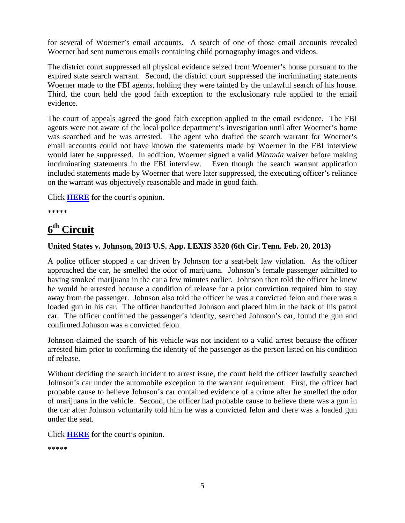for several of Woerner's email accounts. A search of one of those email accounts revealed Woerner had sent numerous emails containing child pornography images and videos.

The district court suppressed all physical evidence seized from Woerner's house pursuant to the expired state search warrant. Second, the district court suppressed the incriminating statements Woerner made to the FBI agents, holding they were tainted by the unlawful search of his house. Third, the court held the good faith exception to the exclusionary rule applied to the email evidence.

The court of appeals agreed the good faith exception applied to the email evidence. The FBI agents were not aware of the local police department's investigation until after Woerner's home was searched and he was arrested. The agent who drafted the search warrant for Woerner's email accounts could not have known the statements made by Woerner in the FBI interview would later be suppressed. In addition, Woerner signed a valid *Miranda* waiver before making incriminating statements in the FBI interview. Even though the search warrant application included statements made by Woerner that were later suppressed, the executing officer's reliance on the warrant was objectively reasonable and made in good faith.

Click **[HERE](http://docs.justia.com/cases/federal/appellate-courts/ca5/11-41380/11-41380-2013-02-22.pdf)** for the court's opinion.

\*\*\*\*\*

### <span id="page-6-0"></span>**6th Circuit**

#### **United States v. Johnson, 2013 U.S. App. LEXIS 3520 (6th Cir. Tenn. Feb. 20, 2013)**

A police officer stopped a car driven by Johnson for a seat-belt law violation. As the officer approached the car, he smelled the odor of marijuana. Johnson's female passenger admitted to having smoked marijuana in the car a few minutes earlier. Johnson then told the officer he knew he would be arrested because a condition of release for a prior conviction required him to stay away from the passenger. Johnson also told the officer he was a convicted felon and there was a loaded gun in his car. The officer handcuffed Johnson and placed him in the back of his patrol car. The officer confirmed the passenger's identity, searched Johnson's car, found the gun and confirmed Johnson was a convicted felon.

Johnson claimed the search of his vehicle was not incident to a valid arrest because the officer arrested him prior to confirming the identity of the passenger as the person listed on his condition of release.

Without deciding the search incident to arrest issue, the court held the officer lawfully searched Johnson's car under the automobile exception to the warrant requirement. First, the officer had probable cause to believe Johnson's car contained evidence of a crime after he smelled the odor of marijuana in the vehicle. Second, the officer had probable cause to believe there was a gun in the car after Johnson voluntarily told him he was a convicted felon and there was a loaded gun under the seat.

Click **[HERE](http://docs.justia.com/cases/federal/appellate-courts/ca6/11-5769/11-5769-2013-02-20.pdf)** for the court's opinion.

```
*****
```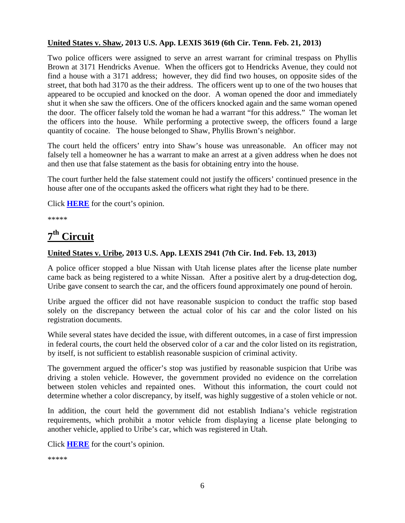#### **United States v. Shaw, 2013 U.S. App. LEXIS 3619 (6th Cir. Tenn. Feb. 21, 2013)**

Two police officers were assigned to serve an arrest warrant for criminal trespass on Phyllis Brown at 3171 Hendricks Avenue. When the officers got to Hendricks Avenue, they could not find a house with a 3171 address; however, they did find two houses, on opposite sides of the street, that both had 3170 as the their address. The officers went up to one of the two houses that appeared to be occupied and knocked on the door. A woman opened the door and immediately shut it when she saw the officers. One of the officers knocked again and the same woman opened the door. The officer falsely told the woman he had a warrant "for this address." The woman let the officers into the house. While performing a protective sweep, the officers found a large quantity of cocaine. The house belonged to Shaw, Phyllis Brown's neighbor.

The court held the officers' entry into Shaw's house was unreasonable. An officer may not falsely tell a homeowner he has a warrant to make an arrest at a given address when he does not and then use that false statement as the basis for obtaining entry into the house.

The court further held the false statement could not justify the officers' continued presence in the house after one of the occupants asked the officers what right they had to be there.

Click **[HERE](http://docs.justia.com/cases/federal/appellate-courts/ca6/11-6433/11-6433-2013-02-21.pdf)** for the court's opinion.

\*\*\*\*\*

## <span id="page-7-0"></span>**7th Circuit**

#### **United States v. Uribe, 2013 U.S. App. LEXIS 2941 (7th Cir. Ind. Feb. 13, 2013)**

A police officer stopped a blue Nissan with Utah license plates after the license plate number came back as being registered to a white Nissan. After a positive alert by a drug-detection dog, Uribe gave consent to search the car, and the officers found approximately one pound of heroin.

Uribe argued the officer did not have reasonable suspicion to conduct the traffic stop based solely on the discrepancy between the actual color of his car and the color listed on his registration documents.

While several states have decided the issue, with different outcomes, in a case of first impression in federal courts, the court held the observed color of a car and the color listed on its registration, by itself, is not sufficient to establish reasonable suspicion of criminal activity.

The government argued the officer's stop was justified by reasonable suspicion that Uribe was driving a stolen vehicle. However, the government provided no evidence on the correlation between stolen vehicles and repainted ones. Without this information, the court could not determine whether a color discrepancy, by itself, was highly suggestive of a stolen vehicle or not.

In addition, the court held the government did not establish Indiana's vehicle registration requirements, which prohibit a motor vehicle from displaying a license plate belonging to another vehicle, applied to Uribe's car, which was registered in Utah.

Click **[HERE](http://docs.justia.com/cases/federal/appellate-courts/ca7/11-3590/11-3590-2013-02-13.pdf)** for the court's opinion.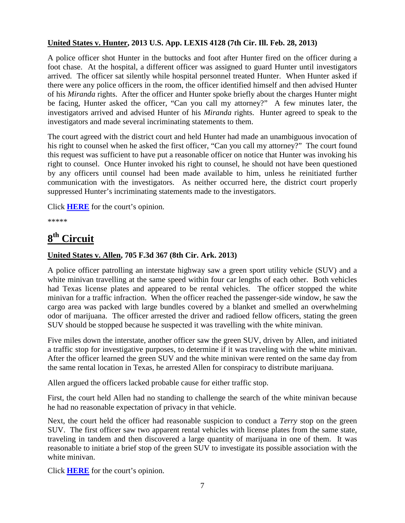#### **United States v. Hunter, 2013 U.S. App. LEXIS 4128 (7th Cir. Ill. Feb. 28, 2013)**

A police officer shot Hunter in the buttocks and foot after Hunter fired on the officer during a foot chase. At the hospital, a different officer was assigned to guard Hunter until investigators arrived. The officer sat silently while hospital personnel treated Hunter. When Hunter asked if there were any police officers in the room, the officer identified himself and then advised Hunter of his *Miranda* rights. After the officer and Hunter spoke briefly about the charges Hunter might be facing, Hunter asked the officer, "Can you call my attorney?" A few minutes later, the investigators arrived and advised Hunter of his *Miranda* rights. Hunter agreed to speak to the investigators and made several incriminating statements to them.

The court agreed with the district court and held Hunter had made an unambiguous invocation of his right to counsel when he asked the first officer, "Can you call my attorney?" The court found this request was sufficient to have put a reasonable officer on notice that Hunter was invoking his right to counsel. Once Hunter invoked his right to counsel, he should not have been questioned by any officers until counsel had been made available to him, unless he reinitiated further communication with the investigators. As neither occurred here, the district court properly suppressed Hunter's incriminating statements made to the investigators.

Click **[HERE](http://docs.justia.com/cases/federal/appellate-courts/ca7/12-1751/12-1751-2013-02-28.pdf)** for the court's opinion.

\*\*\*\*\*

## <span id="page-8-0"></span>**8th Circuit**

#### **United States v. Allen, 705 F.3d 367 (8th Cir. Ark. 2013)**

A police officer patrolling an interstate highway saw a green sport utility vehicle (SUV) and a white minivan travelling at the same speed within four car lengths of each other. Both vehicles had Texas license plates and appeared to be rental vehicles. The officer stopped the white minivan for a traffic infraction. When the officer reached the passenger-side window, he saw the cargo area was packed with large bundles covered by a blanket and smelled an overwhelming odor of marijuana. The officer arrested the driver and radioed fellow officers, stating the green SUV should be stopped because he suspected it was travelling with the white minivan.

Five miles down the interstate, another officer saw the green SUV, driven by Allen, and initiated a traffic stop for investigative purposes, to determine if it was traveling with the white minivan. After the officer learned the green SUV and the white minivan were rented on the same day from the same rental location in Texas, he arrested Allen for conspiracy to distribute marijuana.

Allen argued the officers lacked probable cause for either traffic stop.

First, the court held Allen had no standing to challenge the search of the white minivan because he had no reasonable expectation of privacy in that vehicle.

Next, the court held the officer had reasonable suspicion to conduct a *Terry* stop on the green SUV. The first officer saw two apparent rental vehicles with license plates from the same state, traveling in tandem and then discovered a large quantity of marijuana in one of them. It was reasonable to initiate a brief stop of the green SUV to investigate its possible association with the white minivan.

Click **[HERE](http://docs.justia.com/cases/federal/appellate-courts/ca8/12-1663/12-1663-2013-02-04.pdf)** for the court's opinion.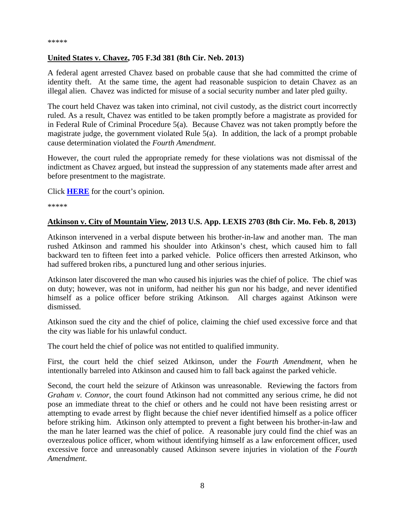#### \*\*\*\*\*

#### **United States v. Chavez, 705 F.3d 381 (8th Cir. Neb. 2013)**

A federal agent arrested Chavez based on probable cause that she had committed the crime of identity theft. At the same time, the agent had reasonable suspicion to detain Chavez as an illegal alien. Chavez was indicted for misuse of a social security number and later pled guilty.

The court held Chavez was taken into criminal, not civil custody, as the district court incorrectly ruled. As a result, Chavez was entitled to be taken promptly before a magistrate as provided for in Federal Rule of Criminal Procedure 5(a). Because Chavez was not taken promptly before the magistrate judge, the government violated Rule 5(a). In addition, the lack of a prompt probable cause determination violated the *Fourth Amendment*.

However, the court ruled the appropriate remedy for these violations was not dismissal of the indictment as Chavez argued, but instead the suppression of any statements made after arrest and before presentment to the magistrate.

Click **[HERE](http://docs.justia.com/cases/federal/appellate-courts/ca8/12-2047/12-2047-2013-02-06.pdf)** for the court's opinion.

\*\*\*\*\*

#### **Atkinson v. City of Mountain View, 2013 U.S. App. LEXIS 2703 (8th Cir. Mo. Feb. 8, 2013)**

Atkinson intervened in a verbal dispute between his brother-in-law and another man. The man rushed Atkinson and rammed his shoulder into Atkinson's chest, which caused him to fall backward ten to fifteen feet into a parked vehicle. Police officers then arrested Atkinson, who had suffered broken ribs, a punctured lung and other serious injuries.

Atkinson later discovered the man who caused his injuries was the chief of police. The chief was on duty; however, was not in uniform, had neither his gun nor his badge, and never identified himself as a police officer before striking Atkinson. All charges against Atkinson were dismissed.

Atkinson sued the city and the chief of police, claiming the chief used excessive force and that the city was liable for his unlawful conduct.

The court held the chief of police was not entitled to qualified immunity.

First, the court held the chief seized Atkinson, under the *Fourth Amendment*, when he intentionally barreled into Atkinson and caused him to fall back against the parked vehicle.

Second, the court held the seizure of Atkinson was unreasonable. Reviewing the factors from *Graham v. Connor*, the court found Atkinson had not committed any serious crime, he did not pose an immediate threat to the chief or others and he could not have been resisting arrest or attempting to evade arrest by flight because the chief never identified himself as a police officer before striking him. Atkinson only attempted to prevent a fight between his brother-in-law and the man he later learned was the chief of police. A reasonable jury could find the chief was an overzealous police officer, whom without identifying himself as a law enforcement officer, used excessive force and unreasonably caused Atkinson severe injuries in violation of the *Fourth Amendment*.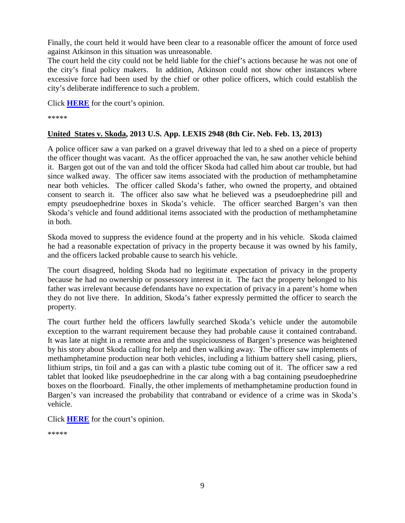Finally, the court held it would have been clear to a reasonable officer the amount of force used against Atkinson in this situation was unreasonable.

The court held the city could not be held liable for the chief's actions because he was not one of the city's final policy makers. In addition, Atkinson could not show other instances where excessive force had been used by the chief or other police officers, which could establish the city's deliberate indifference to such a problem.

Click **[HERE](http://docs.justia.com/cases/federal/appellate-courts/ca8/11-3352/11-3352-2013-02-08.pdf)** for the court's opinion.

\*\*\*\*\*

#### **United States v. Skoda, 2013 U.S. App. LEXIS 2948 (8th Cir. Neb. Feb. 13, 2013)**

A police officer saw a van parked on a gravel driveway that led to a shed on a piece of property the officer thought was vacant. As the officer approached the van, he saw another vehicle behind it. Bargen got out of the van and told the officer Skoda had called him about car trouble, but had since walked away. The officer saw items associated with the production of methamphetamine near both vehicles. The officer called Skoda's father, who owned the property, and obtained consent to search it. The officer also saw what he believed was a pseudoephedrine pill and empty pseudoephedrine boxes in Skoda's vehicle. The officer searched Bargen's van then Skoda's vehicle and found additional items associated with the production of methamphetamine in both.

Skoda moved to suppress the evidence found at the property and in his vehicle. Skoda claimed he had a reasonable expectation of privacy in the property because it was owned by his family, and the officers lacked probable cause to search his vehicle.

The court disagreed, holding Skoda had no legitimate expectation of privacy in the property because he had no ownership or possessory interest in it. The fact the property belonged to his father was irrelevant because defendants have no expectation of privacy in a parent's home when they do not live there. In addition, Skoda's father expressly permitted the officer to search the property.

The court further held the officers lawfully searched Skoda's vehicle under the automobile exception to the warrant requirement because they had probable cause it contained contraband. It was late at night in a remote area and the suspiciousness of Bargen's presence was heightened by his story about Skoda calling for help and then walking away. The officer saw implements of methamphetamine production near both vehicles, including a lithium battery shell casing, pliers, lithium strips, tin foil and a gas can with a plastic tube coming out of it. The officer saw a red tablet that looked like pseudoephedrine in the car along with a bag containing pseudoephedrine boxes on the floorboard. Finally, the other implements of methamphetamine production found in Bargen's van increased the probability that contraband or evidence of a crime was in Skoda's vehicle.

Click **[HERE](http://docs.justia.com/cases/federal/appellate-courts/ca8/12-1645/12-1645-2013-02-13.pdf)** for the court's opinion.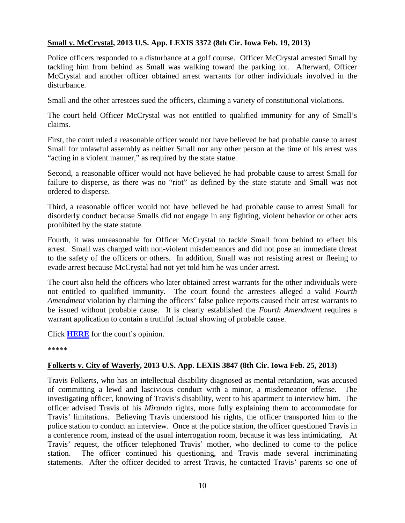#### **Small v. McCrystal, 2013 U.S. App. LEXIS 3372 (8th Cir. Iowa Feb. 19, 2013)**

Police officers responded to a disturbance at a golf course. Officer McCrystal arrested Small by tackling him from behind as Small was walking toward the parking lot. Afterward, Officer McCrystal and another officer obtained arrest warrants for other individuals involved in the disturbance.

Small and the other arrestees sued the officers, claiming a variety of constitutional violations.

The court held Officer McCrystal was not entitled to qualified immunity for any of Small's claims.

First, the court ruled a reasonable officer would not have believed he had probable cause to arrest Small for unlawful assembly as neither Small nor any other person at the time of his arrest was "acting in a violent manner," as required by the state statue.

Second, a reasonable officer would not have believed he had probable cause to arrest Small for failure to disperse, as there was no "riot" as defined by the state statute and Small was not ordered to disperse.

Third, a reasonable officer would not have believed he had probable cause to arrest Small for disorderly conduct because Smalls did not engage in any fighting, violent behavior or other acts prohibited by the state statute.

Fourth, it was unreasonable for Officer McCrystal to tackle Small from behind to effect his arrest. Small was charged with non-violent misdemeanors and did not pose an immediate threat to the safety of the officers or others. In addition, Small was not resisting arrest or fleeing to evade arrest because McCrystal had not yet told him he was under arrest.

The court also held the officers who later obtained arrest warrants for the other individuals were not entitled to qualified immunity. The court found the arrestees alleged a valid *Fourth Amendment* violation by claiming the officers' false police reports caused their arrest warrants to be issued without probable cause. It is clearly established the *Fourth Amendment* requires a warrant application to contain a truthful factual showing of probable cause.

Click **[HERE](http://docs.justia.com/cases/federal/appellate-courts/ca8/12-1933/12-1933-2013-02-19.pdf)** for the court's opinion.

\*\*\*\*\*

#### **Folkerts v. City of Waverly, 2013 U.S. App. LEXIS 3847 (8th Cir. Iowa Feb. 25, 2013)**

Travis Folkerts, who has an intellectual disability diagnosed as mental retardation, was accused of committing a lewd and lascivious conduct with a minor, a misdemeanor offense. The investigating officer, knowing of Travis's disability, went to his apartment to interview him. The officer advised Travis of his *Miranda* rights, more fully explaining them to accommodate for Travis' limitations. Believing Travis understood his rights, the officer transported him to the police station to conduct an interview. Once at the police station, the officer questioned Travis in a conference room, instead of the usual interrogation room, because it was less intimidating. At Travis' request, the officer telephoned Travis' mother, who declined to come to the police station. The officer continued his questioning, and Travis made several incriminating statements. After the officer decided to arrest Travis, he contacted Travis' parents so one of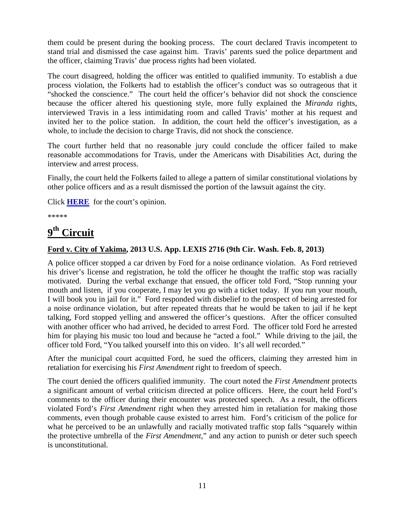them could be present during the booking process. The court declared Travis incompetent to stand trial and dismissed the case against him. Travis' parents sued the police department and the officer, claiming Travis' due process rights had been violated.

The court disagreed, holding the officer was entitled to qualified immunity. To establish a due process violation, the Folkerts had to establish the officer's conduct was so outrageous that it "shocked the conscience." The court held the officer's behavior did not shock the conscience because the officer altered his questioning style, more fully explained the *Miranda* rights, interviewed Travis in a less intimidating room and called Travis' mother at his request and invited her to the police station. In addition, the court held the officer's investigation, as a whole, to include the decision to charge Travis, did not shock the conscience.

The court further held that no reasonable jury could conclude the officer failed to make reasonable accommodations for Travis, under the Americans with Disabilities Act, during the interview and arrest process.

Finally, the court held the Folkerts failed to allege a pattern of similar constitutional violations by other police officers and as a result dismissed the portion of the lawsuit against the city.

Click **[HERE](http://docs.justia.com/cases/federal/appellate-courts/ca8/12-1083/12-1083-2013-02-25.pdf)** for the court's opinion.

\*\*\*\*\*

## <span id="page-12-0"></span>**9th Circuit**

#### **Ford v. City of Yakima, 2013 U.S. App. LEXIS 2716 (9th Cir. Wash. Feb. 8, 2013)**

A police officer stopped a car driven by Ford for a noise ordinance violation. As Ford retrieved his driver's license and registration, he told the officer he thought the traffic stop was racially motivated. During the verbal exchange that ensued, the officer told Ford, "Stop running your mouth and listen, if you cooperate, I may let you go with a ticket today. If you run your mouth, I will book you in jail for it." Ford responded with disbelief to the prospect of being arrested for a noise ordinance violation, but after repeated threats that he would be taken to jail if he kept talking, Ford stopped yelling and answered the officer's questions. After the officer consulted with another officer who had arrived, he decided to arrest Ford. The officer told Ford he arrested him for playing his music too loud and because he "acted a fool." While driving to the jail, the officer told Ford, "You talked yourself into this on video. It's all well recorded."

After the municipal court acquitted Ford, he sued the officers, claiming they arrested him in retaliation for exercising his *First Amendment* right to freedom of speech.

The court denied the officers qualified immunity. The court noted the *First Amendment* protects a significant amount of verbal criticism directed at police officers. Here, the court held Ford's comments to the officer during their encounter was protected speech. As a result, the officers violated Ford's *First Amendment* right when they arrested him in retaliation for making those comments, even though probable cause existed to arrest him. Ford's criticism of the police for what he perceived to be an unlawfully and racially motivated traffic stop falls "squarely within the protective umbrella of the *First Amendment*," and any action to punish or deter such speech is unconstitutional.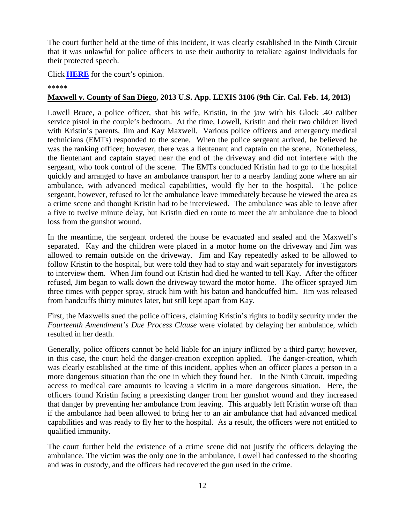The court further held at the time of this incident, it was clearly established in the Ninth Circuit that it was unlawful for police officers to use their authority to retaliate against individuals for their protected speech.

Click **[HERE](http://docs.justia.com/cases/federal/appellate-courts/ca9/11-35319/11-35319-2013-02-08.pdf)** for the court's opinion.

#### \*\*\*\*\*

#### **Maxwell v. County of San Diego, 2013 U.S. App. LEXIS 3106 (9th Cir. Cal. Feb. 14, 2013)**

Lowell Bruce, a police officer, shot his wife, Kristin, in the jaw with his Glock .40 caliber service pistol in the couple's bedroom. At the time, Lowell, Kristin and their two children lived with Kristin's parents, Jim and Kay Maxwell. Various police officers and emergency medical technicians (EMTs) responded to the scene. When the police sergeant arrived, he believed he was the ranking officer; however, there was a lieutenant and captain on the scene. Nonetheless, the lieutenant and captain stayed near the end of the driveway and did not interfere with the sergeant, who took control of the scene. The EMTs concluded Kristin had to go to the hospital quickly and arranged to have an ambulance transport her to a nearby landing zone where an air ambulance, with advanced medical capabilities, would fly her to the hospital. The police sergeant, however, refused to let the ambulance leave immediately because he viewed the area as a crime scene and thought Kristin had to be interviewed. The ambulance was able to leave after a five to twelve minute delay, but Kristin died en route to meet the air ambulance due to blood loss from the gunshot wound.

In the meantime, the sergeant ordered the house be evacuated and sealed and the Maxwell's separated. Kay and the children were placed in a motor home on the driveway and Jim was allowed to remain outside on the driveway. Jim and Kay repeatedly asked to be allowed to follow Kristin to the hospital, but were told they had to stay and wait separately for investigators to interview them. When Jim found out Kristin had died he wanted to tell Kay. After the officer refused, Jim began to walk down the driveway toward the motor home. The officer sprayed Jim three times with pepper spray, struck him with his baton and handcuffed him. Jim was released from handcuffs thirty minutes later, but still kept apart from Kay.

First, the Maxwells sued the police officers, claiming Kristin's rights to bodily security under the *Fourteenth Amendment's Due Process Clause* were violated by delaying her ambulance, which resulted in her death.

Generally, police officers cannot be held liable for an injury inflicted by a third party; however, in this case, the court held the danger-creation exception applied. The danger-creation, which was clearly established at the time of this incident, applies when an officer places a person in a more dangerous situation than the one in which they found her. In the Ninth Circuit, impeding access to medical care amounts to leaving a victim in a more dangerous situation. Here, the officers found Kristin facing a preexisting danger from her gunshot wound and they increased that danger by preventing her ambulance from leaving. This arguably left Kristin worse off than if the ambulance had been allowed to bring her to an air ambulance that had advanced medical capabilities and was ready to fly her to the hospital. As a result, the officers were not entitled to qualified immunity.

The court further held the existence of a crime scene did not justify the officers delaying the ambulance. The victim was the only one in the ambulance, Lowell had confessed to the shooting and was in custody, and the officers had recovered the gun used in the crime.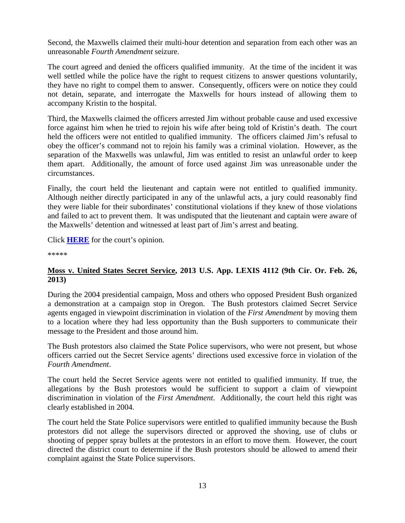Second, the Maxwells claimed their multi-hour detention and separation from each other was an unreasonable *Fourth Amendment* seizure.

The court agreed and denied the officers qualified immunity. At the time of the incident it was well settled while the police have the right to request citizens to answer questions voluntarily, they have no right to compel them to answer. Consequently, officers were on notice they could not detain, separate, and interrogate the Maxwells for hours instead of allowing them to accompany Kristin to the hospital.

Third, the Maxwells claimed the officers arrested Jim without probable cause and used excessive force against him when he tried to rejoin his wife after being told of Kristin's death. The court held the officers were not entitled to qualified immunity. The officers claimed Jim's refusal to obey the officer's command not to rejoin his family was a criminal violation. However, as the separation of the Maxwells was unlawful, Jim was entitled to resist an unlawful order to keep them apart. Additionally, the amount of force used against Jim was unreasonable under the circumstances.

Finally, the court held the lieutenant and captain were not entitled to qualified immunity. Although neither directly participated in any of the unlawful acts, a jury could reasonably find they were liable for their subordinates' constitutional violations if they knew of those violations and failed to act to prevent them. It was undisputed that the lieutenant and captain were aware of the Maxwells' detention and witnessed at least part of Jim's arrest and beating.

Click **[HERE](http://docs.justia.com/cases/federal/appellate-courts/ca9/10-56671/10-56671-2013-02-14.pdf)** for the court's opinion.

\*\*\*\*\*

#### **Moss v. United States Secret Service, 2013 U.S. App. LEXIS 4112 (9th Cir. Or. Feb. 26, 2013)**

During the 2004 presidential campaign, Moss and others who opposed President Bush organized a demonstration at a campaign stop in Oregon. The Bush protestors claimed Secret Service agents engaged in viewpoint discrimination in violation of the *First Amendment* by moving them to a location where they had less opportunity than the Bush supporters to communicate their message to the President and those around him.

The Bush protestors also claimed the State Police supervisors, who were not present, but whose officers carried out the Secret Service agents' directions used excessive force in violation of the *Fourth Amendment*.

The court held the Secret Service agents were not entitled to qualified immunity. If true, the allegations by the Bush protestors would be sufficient to support a claim of viewpoint discrimination in violation of the *First Amendment*. Additionally, the court held this right was clearly established in 2004.

The court held the State Police supervisors were entitled to qualified immunity because the Bush protestors did not allege the supervisors directed or approved the shoving, use of clubs or shooting of pepper spray bullets at the protestors in an effort to move them. However, the court directed the district court to determine if the Bush protestors should be allowed to amend their complaint against the State Police supervisors.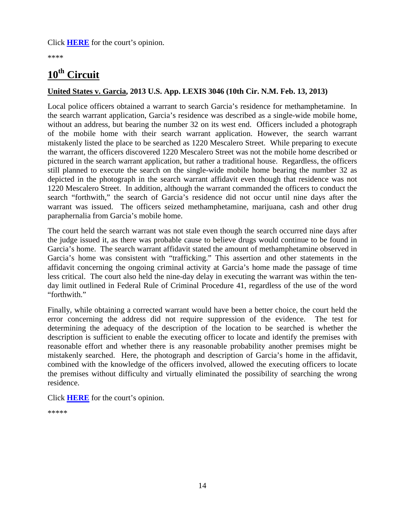Click **[HERE](http://docs.justia.com/cases/federal/appellate-courts/ca9/10-36172/10-36172-2013-02-26.pdf)** for the court's opinion.

\*\*\*\*

### <span id="page-15-0"></span>**10th Circuit**

#### **United States v. Garcia, 2013 U.S. App. LEXIS 3046 (10th Cir. N.M. Feb. 13, 2013)**

Local police officers obtained a warrant to search Garcia's residence for methamphetamine. In the search warrant application, Garcia's residence was described as a single-wide mobile home, without an address, but bearing the number 32 on its west end. Officers included a photograph of the mobile home with their search warrant application. However, the search warrant mistakenly listed the place to be searched as 1220 Mescalero Street. While preparing to execute the warrant, the officers discovered 1220 Mescalero Street was not the mobile home described or pictured in the search warrant application, but rather a traditional house. Regardless, the officers still planned to execute the search on the single-wide mobile home bearing the number 32 as depicted in the photograph in the search warrant affidavit even though that residence was not 1220 Mescalero Street. In addition, although the warrant commanded the officers to conduct the search "forthwith," the search of Garcia's residence did not occur until nine days after the warrant was issued. The officers seized methamphetamine, marijuana, cash and other drug paraphernalia from Garcia's mobile home.

The court held the search warrant was not stale even though the search occurred nine days after the judge issued it, as there was probable cause to believe drugs would continue to be found in Garcia's home. The search warrant affidavit stated the amount of methamphetamine observed in Garcia's home was consistent with "trafficking." This assertion and other statements in the affidavit concerning the ongoing criminal activity at Garcia's home made the passage of time less critical. The court also held the nine-day delay in executing the warrant was within the tenday limit outlined in Federal Rule of Criminal Procedure 41, regardless of the use of the word "forthwith."

Finally, while obtaining a corrected warrant would have been a better choice, the court held the error concerning the address did not require suppression of the evidence. The test for determining the adequacy of the description of the location to be searched is whether the description is sufficient to enable the executing officer to locate and identify the premises with reasonable effort and whether there is any reasonable probability another premises might be mistakenly searched. Here, the photograph and description of Garcia's home in the affidavit, combined with the knowledge of the officers involved, allowed the executing officers to locate the premises without difficulty and virtually eliminated the possibility of searching the wrong residence.

<span id="page-15-1"></span>Click **[HERE](http://docs.justia.com/cases/federal/appellate-courts/ca10/11-2233/11-2233-2013-02-13.pdf)** for the court's opinion.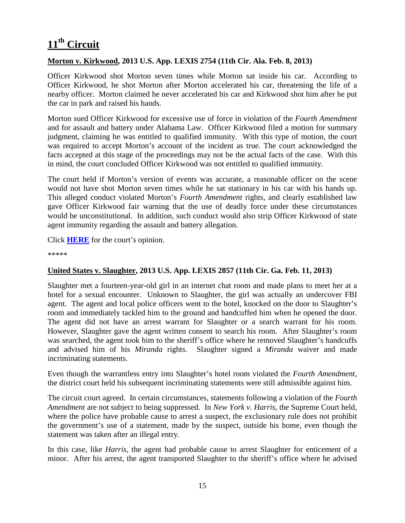## **11th Circuit**

#### **Morton v. Kirkwood, 2013 U.S. App. LEXIS 2754 (11th Cir. Ala. Feb. 8, 2013)**

Officer Kirkwood shot Morton seven times while Morton sat inside his car. According to Officer Kirkwood, he shot Morton after Morton accelerated his car, threatening the life of a nearby officer. Morton claimed he never accelerated his car and Kirkwood shot him after he put the car in park and raised his hands.

Morton sued Officer Kirkwood for excessive use of force in violation of the *Fourth Amendment* and for assault and battery under Alabama Law. Officer Kirkwood filed a motion for summary judgment, claiming he was entitled to qualified immunity. With this type of motion, the court was required to accept Morton's account of the incident as true. The court acknowledged the facts accepted at this stage of the proceedings may not be the actual facts of the case. With this in mind, the court concluded Officer Kirkwood was not entitled to qualified immunity.

The court held if Morton's version of events was accurate, a reasonable officer on the scene would not have shot Morton seven times while he sat stationary in his car with his hands up. This alleged conduct violated Morton's *Fourth Amendment* rights, and clearly established law gave Officer Kirkwood fair warning that the use of deadly force under these circumstances would be unconstitutional. In addition, such conduct would also strip Officer Kirkwood of state agent immunity regarding the assault and battery allegation.

Click **[HERE](http://docs.justia.com/cases/federal/appellate-courts/ca11/12-11436/12-11436-2013-02-08.pdf)** for the court's opinion.

\*\*\*\*\*

#### **United States v. Slaughter, 2013 U.S. App. LEXIS 2857 (11th Cir. Ga. Feb. 11, 2013)**

Slaughter met a fourteen-year-old girl in an internet chat room and made plans to meet her at a hotel for a sexual encounter. Unknown to Slaughter, the girl was actually an undercover FBI agent. The agent and local police officers went to the hotel, knocked on the door to Slaughter's room and immediately tackled him to the ground and handcuffed him when he opened the door. The agent did not have an arrest warrant for Slaughter or a search warrant for his room. However, Slaughter gave the agent written consent to search his room. After Slaughter's room was searched, the agent took him to the sheriff's office where he removed Slaughter's handcuffs and advised him of his *Miranda* rights. Slaughter signed a *Miranda* waiver and made incriminating statements.

Even though the warrantless entry into Slaughter's hotel room violated the *Fourth Amendment*, the district court held his subsequent incriminating statements were still admissible against him.

The circuit court agreed. In certain circumstances, statements following a violation of the *Fourth Amendment* are not subject to being suppressed. In *New York v. Harris*, the Supreme Court held, where the police have probable cause to arrest a suspect, the exclusionary rule does not prohibit the government's use of a statement, made by the suspect, outside his home, even though the statement was taken after an illegal entry.

In this case, like *Harris*, the agent had probable cause to arrest Slaughter for enticement of a minor. After his arrest, the agent transported Slaughter to the sheriff's office where he advised